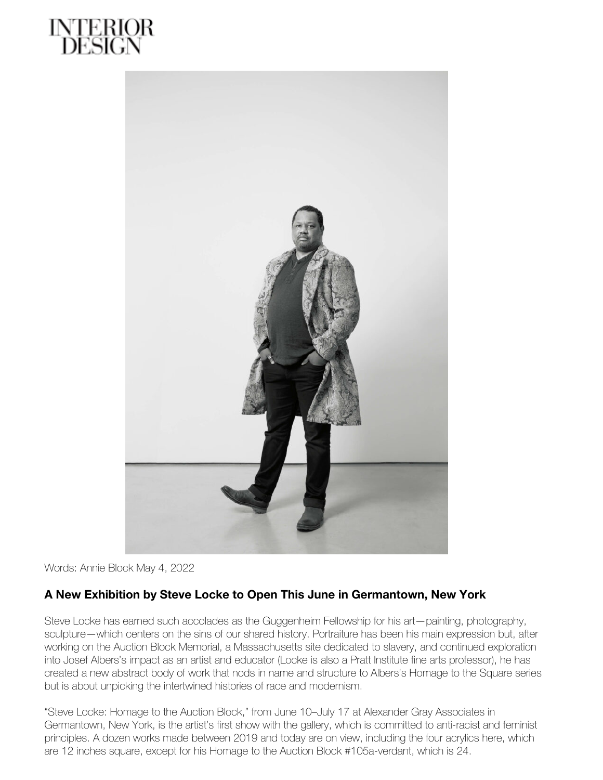



Words: Annie Block May 4, 2022

## **A New Exhibition by Steve Locke to Open This June in Germantown, New York**

Steve Locke has earned such accolades as the Guggenheim Fellowship for his art—painting, photography, sculpture—which centers on the sins of our shared history. Portraiture has been his main expression but, after working on the Auction Block Memorial, a Massachusetts site dedicated to slavery, and continued exploration into Josef Albers's impact as an artist and educator (Locke is also a Pratt Institute fine arts professor), he has created a new abstract body of work that nods in name and structure to Albers's Homage to the Square series but is about unpicking the intertwined histories of race and modernism.

"Steve Locke: Homage to the Auction Block," from June 10–July 17 at Alexander Gray Associates in Germantown, New York, is the artist's first show with the gallery, which is committed to anti-racist and feminist principles. A dozen works made between 2019 and today are on view, including the four acrylics here, which are 12 inches square, except for his Homage to the Auction Block #105a-verdant, which is 24.